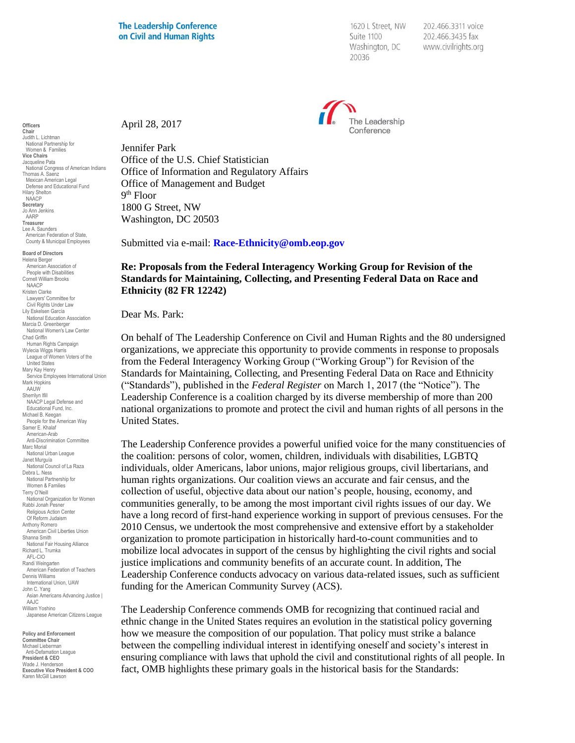1620 L Street, NW Suite 1100 Washington, DC 20036

202.466.3311 voice 202.466.3435 fax www.civilrights.org



April 28, 2017

Jennifer Park Office of the U.S. Chief Statistician Office of Information and Regulatory Affairs Office of Management and Budget 9 th Floor 1800 G Street, NW Washington, DC 20503

Submitted via e-mail: **[Race-Ethnicity@omb.eop.gov](mailto:Race-Ethnicity@omb.eop.gov)**

#### **Re: Proposals from the Federal Interagency Working Group for Revision of the Standards for Maintaining, Collecting, and Presenting Federal Data on Race and Ethnicity (82 FR 12242)**

Dear Ms. Park:

On behalf of The Leadership Conference on Civil and Human Rights and the 80 undersigned organizations, we appreciate this opportunity to provide comments in response to proposals from the Federal Interagency Working Group ("Working Group") for Revision of the Standards for Maintaining, Collecting, and Presenting Federal Data on Race and Ethnicity ("Standards"), published in the *Federal Register* on March 1, 2017 (the "Notice"). The Leadership Conference is a coalition charged by its diverse membership of more than 200 national organizations to promote and protect the civil and human rights of all persons in the United States.

The Leadership Conference provides a powerful unified voice for the many constituencies of the coalition: persons of color, women, children, individuals with disabilities, LGBTQ individuals, older Americans, labor unions, major religious groups, civil libertarians, and human rights organizations. Our coalition views an accurate and fair census, and the collection of useful, objective data about our nation's people, housing, economy, and communities generally, to be among the most important civil rights issues of our day. We have a long record of first-hand experience working in support of previous censuses. For the 2010 Census, we undertook the most comprehensive and extensive effort by a stakeholder organization to promote participation in historically hard-to-count communities and to mobilize local advocates in support of the census by highlighting the civil rights and social justice implications and community benefits of an accurate count. In addition, The Leadership Conference conducts advocacy on various data-related issues, such as sufficient funding for the American Community Survey (ACS).

The Leadership Conference commends OMB for recognizing that continued racial and ethnic change in the United States requires an evolution in the statistical policy governing how we measure the composition of our population. That policy must strike a balance between the compelling individual interest in identifying oneself and society's interest in ensuring compliance with laws that uphold the civil and constitutional rights of all people. In fact, OMB highlights these primary goals in the historical basis for the Standards:

Chair Judith L. Lichtman National Partnership for Women & Families Vice Chairs Jacqueline Pata National Congress of American Indians Thomas A. Saenz Mexican American Legal Defense and Educational Fund Hilary Shelton NAACP Secretary Jo Ann Jenkins AARP Treasurer Lee A. Saunders American Federation of State, County & Municipal Employees Board of Directors Helena Berger American Association of People with Disabilities Cornell William Brooks NAACP Kristen Clarke Lawyers' Committee for Civil Rights Under Law Lily Eskelsen García National Education Association Marcia D. Greenberger National Women's Law Center Chad Griffin Human Rights Campaign Wylecia Wiggs Harris League of Women Voters of the United States Mary Kay Henry Service Employees International Union Mark Hopkins AAUW Sherrilyn Ifill NAACP Legal Defense and Educational Fund, Inc. Michael B. Keegan People for the American Way Samer E. Khalaf American-Arab Anti-Discrimination Committee Marc Morial National Urban League Janet Murguía National Council of La Raza Debra L. Ness National Partnership for Women & Families Terry O'Neill National Organization for Women Rabbi Jonah Pesner Religious Action Center Of Reform Judaism Anthony Romero American Civil Liberties Union Shanna Smith National Fair Housing Alliance Richard L. Trumka AFL-CIO Randi Weingarten American Federation of Teachers Dennis Williams International Union, UAW John C. Yang Asian Americans Advancing Justice | AAJC William Yoshino Japanese American Citizens League

**Officers** 

Policy and Enforcement Committee Chair Michael Lieberman Anti-Defamation League President & CEO Wade J. Henderson Executive Vice President & COO Karen McGill Lawson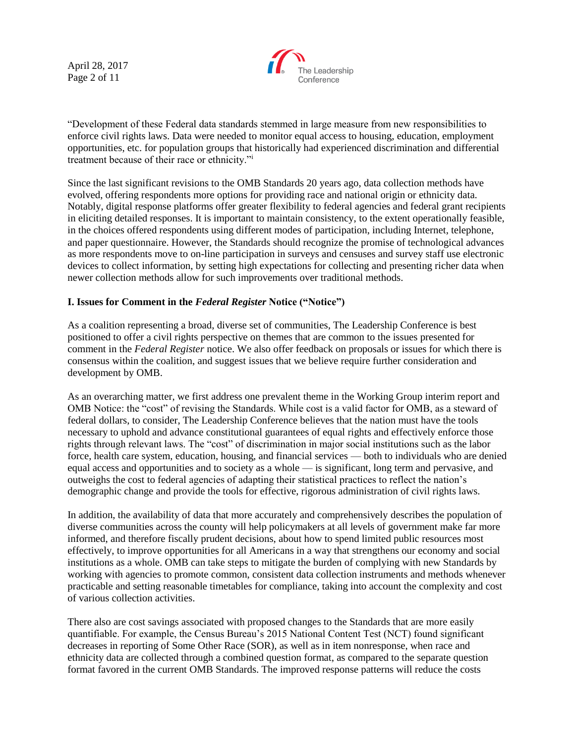April 28, 2017 Page 2 of 11



"Development of these Federal data standards stemmed in large measure from new responsibilities to enforce civil rights laws. Data were needed to monitor equal access to housing, education, employment opportunities, etc. for population groups that historically had experienced discrimination and differential treatment because of their race or ethnicity."<sup>i</sup>

Since the last significant revisions to the OMB Standards 20 years ago, data collection methods have evolved, offering respondents more options for providing race and national origin or ethnicity data. Notably, digital response platforms offer greater flexibility to federal agencies and federal grant recipients in eliciting detailed responses. It is important to maintain consistency, to the extent operationally feasible, in the choices offered respondents using different modes of participation, including Internet, telephone, and paper questionnaire. However, the Standards should recognize the promise of technological advances as more respondents move to on-line participation in surveys and censuses and survey staff use electronic devices to collect information, by setting high expectations for collecting and presenting richer data when newer collection methods allow for such improvements over traditional methods.

### **I. Issues for Comment in the** *Federal Register* **Notice ("Notice")**

As a coalition representing a broad, diverse set of communities, The Leadership Conference is best positioned to offer a civil rights perspective on themes that are common to the issues presented for comment in the *Federal Register* notice. We also offer feedback on proposals or issues for which there is consensus within the coalition, and suggest issues that we believe require further consideration and development by OMB.

As an overarching matter, we first address one prevalent theme in the Working Group interim report and OMB Notice: the "cost" of revising the Standards. While cost is a valid factor for OMB, as a steward of federal dollars, to consider, The Leadership Conference believes that the nation must have the tools necessary to uphold and advance constitutional guarantees of equal rights and effectively enforce those rights through relevant laws. The "cost" of discrimination in major social institutions such as the labor force, health care system, education, housing, and financial services — both to individuals who are denied equal access and opportunities and to society as a whole — is significant, long term and pervasive, and outweighs the cost to federal agencies of adapting their statistical practices to reflect the nation's demographic change and provide the tools for effective, rigorous administration of civil rights laws.

In addition, the availability of data that more accurately and comprehensively describes the population of diverse communities across the county will help policymakers at all levels of government make far more informed, and therefore fiscally prudent decisions, about how to spend limited public resources most effectively, to improve opportunities for all Americans in a way that strengthens our economy and social institutions as a whole. OMB can take steps to mitigate the burden of complying with new Standards by working with agencies to promote common, consistent data collection instruments and methods whenever practicable and setting reasonable timetables for compliance, taking into account the complexity and cost of various collection activities.

There also are cost savings associated with proposed changes to the Standards that are more easily quantifiable. For example, the Census Bureau's 2015 National Content Test (NCT) found significant decreases in reporting of Some Other Race (SOR), as well as in item nonresponse, when race and ethnicity data are collected through a combined question format, as compared to the separate question format favored in the current OMB Standards. The improved response patterns will reduce the costs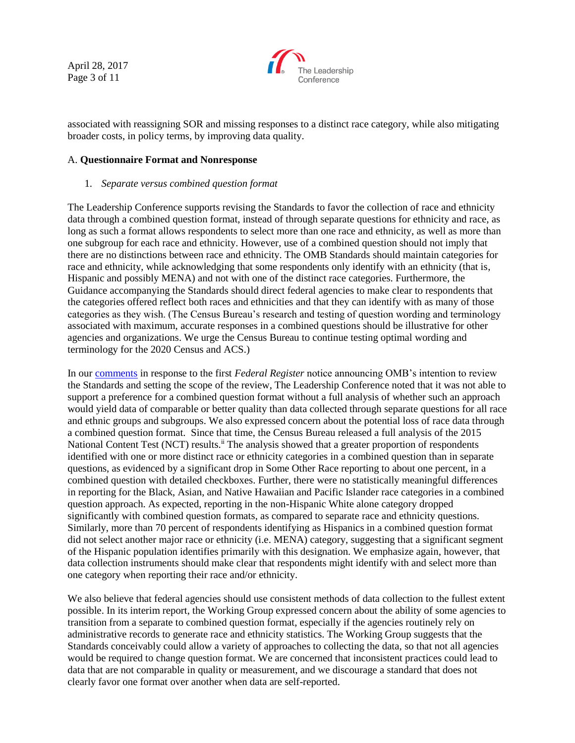April 28, 2017 Page 3 of 11



associated with reassigning SOR and missing responses to a distinct race category, while also mitigating broader costs, in policy terms, by improving data quality.

### A. **Questionnaire Format and Nonresponse**

1. *Separate versus combined question format*

The Leadership Conference supports revising the Standards to favor the collection of race and ethnicity data through a combined question format, instead of through separate questions for ethnicity and race, as long as such a format allows respondents to select more than one race and ethnicity, as well as more than one subgroup for each race and ethnicity. However, use of a combined question should not imply that there are no distinctions between race and ethnicity. The OMB Standards should maintain categories for race and ethnicity, while acknowledging that some respondents only identify with an ethnicity (that is, Hispanic and possibly MENA) and not with one of the distinct race categories. Furthermore, the Guidance accompanying the Standards should direct federal agencies to make clear to respondents that the categories offered reflect both races and ethnicities and that they can identify with as many of those categories as they wish. (The Census Bureau's research and testing of question wording and terminology associated with maximum, accurate responses in a combined questions should be illustrative for other agencies and organizations. We urge the Census Bureau to continue testing optimal wording and terminology for the 2020 Census and ACS.)

In our [comments](http://civilrightsdocs.info/pdf/policy/letters/2016/Comments-Race-Ethnicity-Standard_10-31-16.pdf) in response to the first *Federal Register* notice announcing OMB's intention to review the Standards and setting the scope of the review, The Leadership Conference noted that it was not able to support a preference for a combined question format without a full analysis of whether such an approach would yield data of comparable or better quality than data collected through separate questions for all race and ethnic groups and subgroups. We also expressed concern about the potential loss of race data through a combined question format. Since that time, the Census Bureau released a full analysis of the 2015 National Content Test (NCT) results.<sup>ii</sup> The analysis showed that a greater proportion of respondents identified with one or more distinct race or ethnicity categories in a combined question than in separate questions, as evidenced by a significant drop in Some Other Race reporting to about one percent, in a combined question with detailed checkboxes. Further, there were no statistically meaningful differences in reporting for the Black, Asian, and Native Hawaiian and Pacific Islander race categories in a combined question approach. As expected, reporting in the non-Hispanic White alone category dropped significantly with combined question formats, as compared to separate race and ethnicity questions. Similarly, more than 70 percent of respondents identifying as Hispanics in a combined question format did not select another major race or ethnicity (i.e. MENA) category, suggesting that a significant segment of the Hispanic population identifies primarily with this designation. We emphasize again, however, that data collection instruments should make clear that respondents might identify with and select more than one category when reporting their race and/or ethnicity.

We also believe that federal agencies should use consistent methods of data collection to the fullest extent possible. In its interim report, the Working Group expressed concern about the ability of some agencies to transition from a separate to combined question format, especially if the agencies routinely rely on administrative records to generate race and ethnicity statistics. The Working Group suggests that the Standards conceivably could allow a variety of approaches to collecting the data, so that not all agencies would be required to change question format. We are concerned that inconsistent practices could lead to data that are not comparable in quality or measurement, and we discourage a standard that does not clearly favor one format over another when data are self-reported.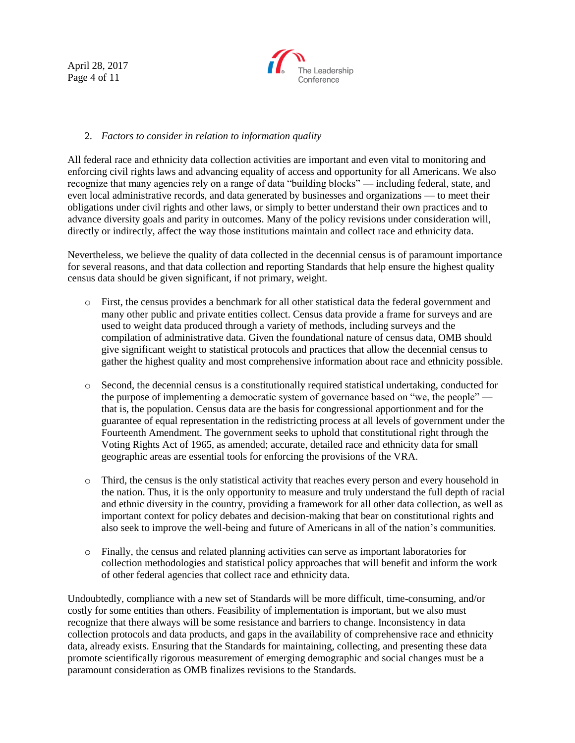April 28, 2017 Page 4 of 11



### 2. *Factors to consider in relation to information quality*

All federal race and ethnicity data collection activities are important and even vital to monitoring and enforcing civil rights laws and advancing equality of access and opportunity for all Americans. We also recognize that many agencies rely on a range of data "building blocks" — including federal, state, and even local administrative records, and data generated by businesses and organizations — to meet their obligations under civil rights and other laws, or simply to better understand their own practices and to advance diversity goals and parity in outcomes. Many of the policy revisions under consideration will, directly or indirectly, affect the way those institutions maintain and collect race and ethnicity data.

Nevertheless, we believe the quality of data collected in the decennial census is of paramount importance for several reasons, and that data collection and reporting Standards that help ensure the highest quality census data should be given significant, if not primary, weight.

- o First, the census provides a benchmark for all other statistical data the federal government and many other public and private entities collect. Census data provide a frame for surveys and are used to weight data produced through a variety of methods, including surveys and the compilation of administrative data. Given the foundational nature of census data, OMB should give significant weight to statistical protocols and practices that allow the decennial census to gather the highest quality and most comprehensive information about race and ethnicity possible.
- o Second, the decennial census is a constitutionally required statistical undertaking, conducted for the purpose of implementing a democratic system of governance based on "we, the people" that is, the population. Census data are the basis for congressional apportionment and for the guarantee of equal representation in the redistricting process at all levels of government under the Fourteenth Amendment. The government seeks to uphold that constitutional right through the Voting Rights Act of 1965, as amended; accurate, detailed race and ethnicity data for small geographic areas are essential tools for enforcing the provisions of the VRA.
- o Third, the census is the only statistical activity that reaches every person and every household in the nation. Thus, it is the only opportunity to measure and truly understand the full depth of racial and ethnic diversity in the country, providing a framework for all other data collection, as well as important context for policy debates and decision-making that bear on constitutional rights and also seek to improve the well-being and future of Americans in all of the nation's communities.
- o Finally, the census and related planning activities can serve as important laboratories for collection methodologies and statistical policy approaches that will benefit and inform the work of other federal agencies that collect race and ethnicity data.

Undoubtedly, compliance with a new set of Standards will be more difficult, time-consuming, and/or costly for some entities than others. Feasibility of implementation is important, but we also must recognize that there always will be some resistance and barriers to change. Inconsistency in data collection protocols and data products, and gaps in the availability of comprehensive race and ethnicity data, already exists. Ensuring that the Standards for maintaining, collecting, and presenting these data promote scientifically rigorous measurement of emerging demographic and social changes must be a paramount consideration as OMB finalizes revisions to the Standards.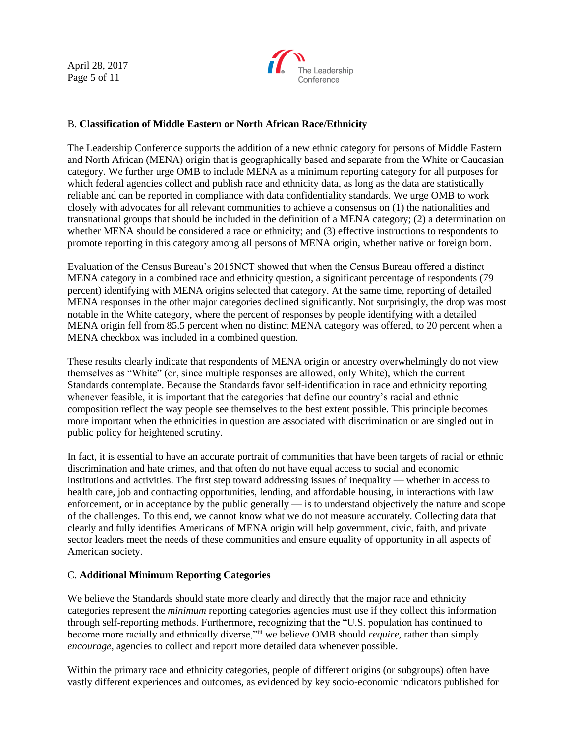April 28, 2017 Page 5 of 11



# B. **Classification of Middle Eastern or North African Race/Ethnicity**

The Leadership Conference supports the addition of a new ethnic category for persons of Middle Eastern and North African (MENA) origin that is geographically based and separate from the White or Caucasian category. We further urge OMB to include MENA as a minimum reporting category for all purposes for which federal agencies collect and publish race and ethnicity data, as long as the data are statistically reliable and can be reported in compliance with data confidentiality standards. We urge OMB to work closely with advocates for all relevant communities to achieve a consensus on (1) the nationalities and transnational groups that should be included in the definition of a MENA category; (2) a determination on whether MENA should be considered a race or ethnicity; and (3) effective instructions to respondents to promote reporting in this category among all persons of MENA origin, whether native or foreign born.

Evaluation of the Census Bureau's 2015NCT showed that when the Census Bureau offered a distinct MENA category in a combined race and ethnicity question, a significant percentage of respondents (79 percent) identifying with MENA origins selected that category. At the same time, reporting of detailed MENA responses in the other major categories declined significantly. Not surprisingly, the drop was most notable in the White category, where the percent of responses by people identifying with a detailed MENA origin fell from 85.5 percent when no distinct MENA category was offered, to 20 percent when a MENA checkbox was included in a combined question.

These results clearly indicate that respondents of MENA origin or ancestry overwhelmingly do not view themselves as "White" (or, since multiple responses are allowed, only White), which the current Standards contemplate. Because the Standards favor self-identification in race and ethnicity reporting whenever feasible, it is important that the categories that define our country's racial and ethnic composition reflect the way people see themselves to the best extent possible. This principle becomes more important when the ethnicities in question are associated with discrimination or are singled out in public policy for heightened scrutiny.

In fact, it is essential to have an accurate portrait of communities that have been targets of racial or ethnic discrimination and hate crimes, and that often do not have equal access to social and economic institutions and activities. The first step toward addressing issues of inequality — whether in access to health care, job and contracting opportunities, lending, and affordable housing, in interactions with law enforcement, or in acceptance by the public generally — is to understand objectively the nature and scope of the challenges. To this end, we cannot know what we do not measure accurately. Collecting data that clearly and fully identifies Americans of MENA origin will help government, civic, faith, and private sector leaders meet the needs of these communities and ensure equality of opportunity in all aspects of American society.

### C. **Additional Minimum Reporting Categories**

We believe the Standards should state more clearly and directly that the major race and ethnicity categories represent the *minimum* reporting categories agencies must use if they collect this information through self-reporting methods. Furthermore, recognizing that the "U.S. population has continued to become more racially and ethnically diverse,<sup>"iii</sup> we believe OMB should *require*, rather than simply *encourage*, agencies to collect and report more detailed data whenever possible.

Within the primary race and ethnicity categories, people of different origins (or subgroups) often have vastly different experiences and outcomes, as evidenced by key socio-economic indicators published for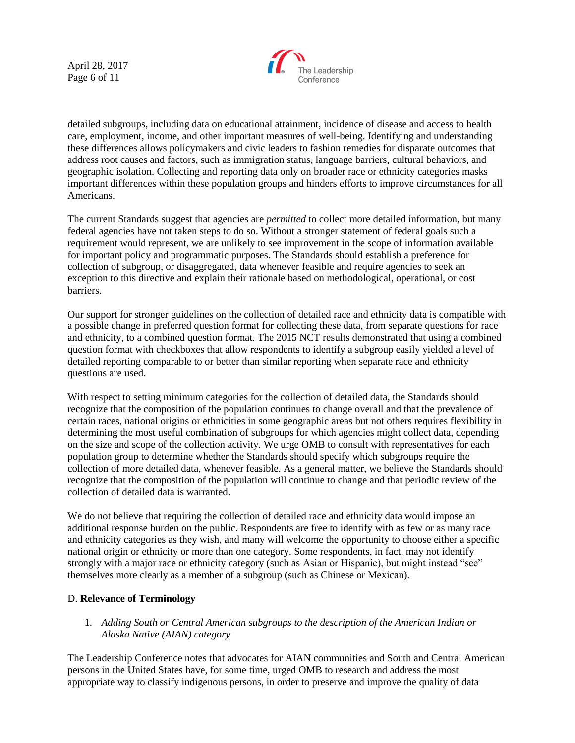April 28, 2017 Page 6 of 11



detailed subgroups, including data on educational attainment, incidence of disease and access to health care, employment, income, and other important measures of well-being. Identifying and understanding these differences allows policymakers and civic leaders to fashion remedies for disparate outcomes that address root causes and factors, such as immigration status, language barriers, cultural behaviors, and geographic isolation. Collecting and reporting data only on broader race or ethnicity categories masks important differences within these population groups and hinders efforts to improve circumstances for all Americans.

The current Standards suggest that agencies are *permitted* to collect more detailed information, but many federal agencies have not taken steps to do so. Without a stronger statement of federal goals such a requirement would represent, we are unlikely to see improvement in the scope of information available for important policy and programmatic purposes. The Standards should establish a preference for collection of subgroup, or disaggregated, data whenever feasible and require agencies to seek an exception to this directive and explain their rationale based on methodological, operational, or cost barriers.

Our support for stronger guidelines on the collection of detailed race and ethnicity data is compatible with a possible change in preferred question format for collecting these data, from separate questions for race and ethnicity, to a combined question format. The 2015 NCT results demonstrated that using a combined question format with checkboxes that allow respondents to identify a subgroup easily yielded a level of detailed reporting comparable to or better than similar reporting when separate race and ethnicity questions are used.

With respect to setting minimum categories for the collection of detailed data, the Standards should recognize that the composition of the population continues to change overall and that the prevalence of certain races, national origins or ethnicities in some geographic areas but not others requires flexibility in determining the most useful combination of subgroups for which agencies might collect data, depending on the size and scope of the collection activity. We urge OMB to consult with representatives for each population group to determine whether the Standards should specify which subgroups require the collection of more detailed data, whenever feasible. As a general matter, we believe the Standards should recognize that the composition of the population will continue to change and that periodic review of the collection of detailed data is warranted.

We do not believe that requiring the collection of detailed race and ethnicity data would impose an additional response burden on the public. Respondents are free to identify with as few or as many race and ethnicity categories as they wish, and many will welcome the opportunity to choose either a specific national origin or ethnicity or more than one category. Some respondents, in fact, may not identify strongly with a major race or ethnicity category (such as Asian or Hispanic), but might instead "see" themselves more clearly as a member of a subgroup (such as Chinese or Mexican).

### D. **Relevance of Terminology**

1. *Adding South or Central American subgroups to the description of the American Indian or Alaska Native (AIAN) category*

The Leadership Conference notes that advocates for AIAN communities and South and Central American persons in the United States have, for some time, urged OMB to research and address the most appropriate way to classify indigenous persons, in order to preserve and improve the quality of data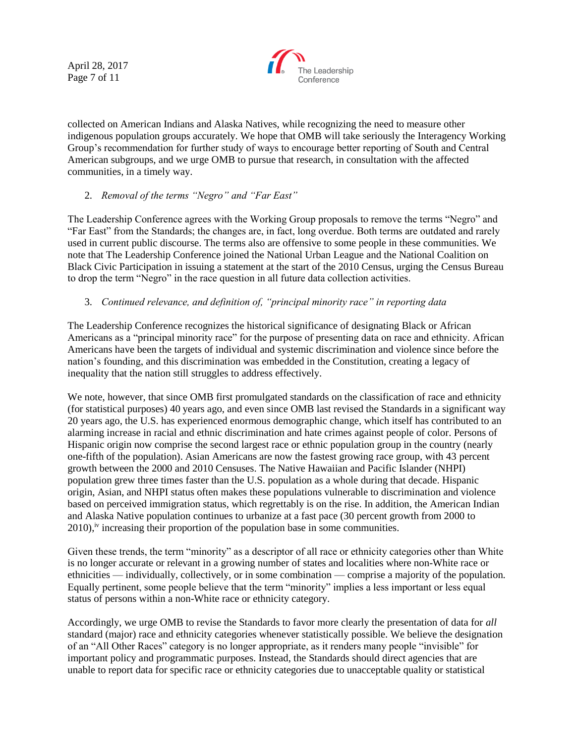April 28, 2017 Page 7 of 11



collected on American Indians and Alaska Natives, while recognizing the need to measure other indigenous population groups accurately. We hope that OMB will take seriously the Interagency Working Group's recommendation for further study of ways to encourage better reporting of South and Central American subgroups, and we urge OMB to pursue that research, in consultation with the affected communities, in a timely way.

# 2. *Removal of the terms "Negro" and "Far East"*

The Leadership Conference agrees with the Working Group proposals to remove the terms "Negro" and "Far East" from the Standards; the changes are, in fact, long overdue. Both terms are outdated and rarely used in current public discourse. The terms also are offensive to some people in these communities. We note that The Leadership Conference joined the National Urban League and the National Coalition on Black Civic Participation in issuing a statement at the start of the 2010 Census, urging the Census Bureau to drop the term "Negro" in the race question in all future data collection activities.

## 3. *Continued relevance, and definition of, "principal minority race" in reporting data*

The Leadership Conference recognizes the historical significance of designating Black or African Americans as a "principal minority race" for the purpose of presenting data on race and ethnicity. African Americans have been the targets of individual and systemic discrimination and violence since before the nation's founding, and this discrimination was embedded in the Constitution, creating a legacy of inequality that the nation still struggles to address effectively.

We note, however, that since OMB first promulgated standards on the classification of race and ethnicity (for statistical purposes) 40 years ago, and even since OMB last revised the Standards in a significant way 20 years ago, the U.S. has experienced enormous demographic change, which itself has contributed to an alarming increase in racial and ethnic discrimination and hate crimes against people of color. Persons of Hispanic origin now comprise the second largest race or ethnic population group in the country (nearly one-fifth of the population). Asian Americans are now the fastest growing race group, with 43 percent growth between the 2000 and 2010 Censuses. The Native Hawaiian and Pacific Islander (NHPI) population grew three times faster than the U.S. population as a whole during that decade. Hispanic origin, Asian, and NHPI status often makes these populations vulnerable to discrimination and violence based on perceived immigration status, which regrettably is on the rise. In addition, the American Indian and Alaska Native population continues to urbanize at a fast pace (30 percent growth from 2000 to  $2010$ , <sup>iv</sup> increasing their proportion of the population base in some communities.

Given these trends, the term "minority" as a descriptor of all race or ethnicity categories other than White is no longer accurate or relevant in a growing number of states and localities where non-White race or ethnicities — individually, collectively, or in some combination — comprise a majority of the population. Equally pertinent, some people believe that the term "minority" implies a less important or less equal status of persons within a non-White race or ethnicity category.

Accordingly, we urge OMB to revise the Standards to favor more clearly the presentation of data for *all*  standard (major) race and ethnicity categories whenever statistically possible. We believe the designation of an "All Other Races" category is no longer appropriate, as it renders many people "invisible" for important policy and programmatic purposes. Instead, the Standards should direct agencies that are unable to report data for specific race or ethnicity categories due to unacceptable quality or statistical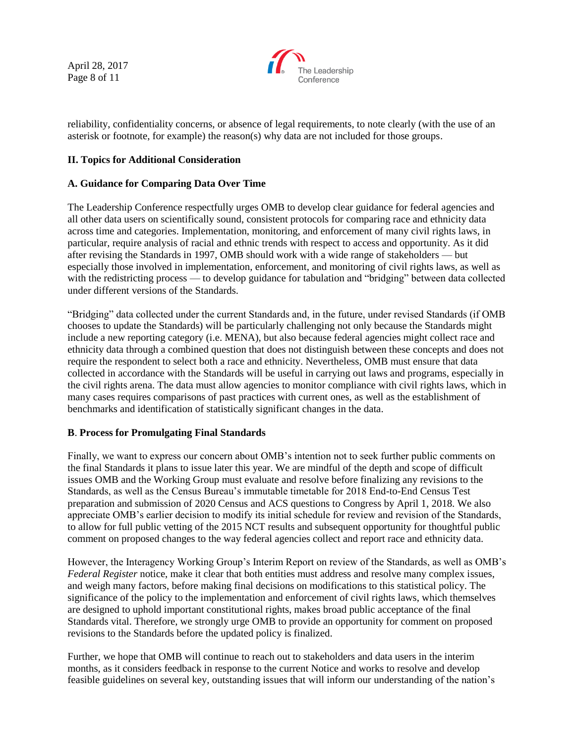April 28, 2017 Page 8 of 11



reliability, confidentiality concerns, or absence of legal requirements, to note clearly (with the use of an asterisk or footnote, for example) the reason(s) why data are not included for those groups.

## **II. Topics for Additional Consideration**

### **A. Guidance for Comparing Data Over Time**

The Leadership Conference respectfully urges OMB to develop clear guidance for federal agencies and all other data users on scientifically sound, consistent protocols for comparing race and ethnicity data across time and categories. Implementation, monitoring, and enforcement of many civil rights laws, in particular, require analysis of racial and ethnic trends with respect to access and opportunity. As it did after revising the Standards in 1997, OMB should work with a wide range of stakeholders — but especially those involved in implementation, enforcement, and monitoring of civil rights laws, as well as with the redistricting process — to develop guidance for tabulation and "bridging" between data collected under different versions of the Standards.

"Bridging" data collected under the current Standards and, in the future, under revised Standards (if OMB chooses to update the Standards) will be particularly challenging not only because the Standards might include a new reporting category (i.e. MENA), but also because federal agencies might collect race and ethnicity data through a combined question that does not distinguish between these concepts and does not require the respondent to select both a race and ethnicity. Nevertheless, OMB must ensure that data collected in accordance with the Standards will be useful in carrying out laws and programs, especially in the civil rights arena. The data must allow agencies to monitor compliance with civil rights laws, which in many cases requires comparisons of past practices with current ones, as well as the establishment of benchmarks and identification of statistically significant changes in the data.

### **B**. **Process for Promulgating Final Standards**

Finally, we want to express our concern about OMB's intention not to seek further public comments on the final Standards it plans to issue later this year. We are mindful of the depth and scope of difficult issues OMB and the Working Group must evaluate and resolve before finalizing any revisions to the Standards, as well as the Census Bureau's immutable timetable for 2018 End-to-End Census Test preparation and submission of 2020 Census and ACS questions to Congress by April 1, 2018. We also appreciate OMB's earlier decision to modify its initial schedule for review and revision of the Standards, to allow for full public vetting of the 2015 NCT results and subsequent opportunity for thoughtful public comment on proposed changes to the way federal agencies collect and report race and ethnicity data.

However, the Interagency Working Group's Interim Report on review of the Standards, as well as OMB's *Federal Register* notice, make it clear that both entities must address and resolve many complex issues, and weigh many factors, before making final decisions on modifications to this statistical policy. The significance of the policy to the implementation and enforcement of civil rights laws, which themselves are designed to uphold important constitutional rights, makes broad public acceptance of the final Standards vital. Therefore, we strongly urge OMB to provide an opportunity for comment on proposed revisions to the Standards before the updated policy is finalized.

Further, we hope that OMB will continue to reach out to stakeholders and data users in the interim months, as it considers feedback in response to the current Notice and works to resolve and develop feasible guidelines on several key, outstanding issues that will inform our understanding of the nation's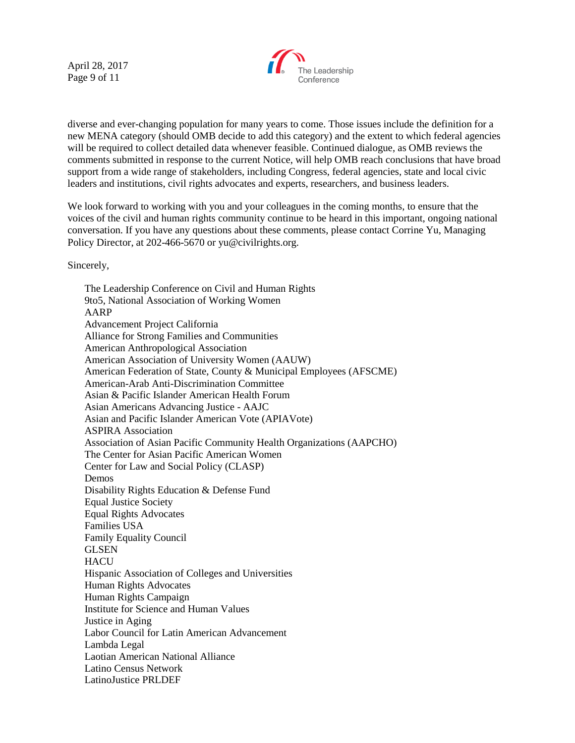April 28, 2017 Page 9 of 11



diverse and ever-changing population for many years to come. Those issues include the definition for a new MENA category (should OMB decide to add this category) and the extent to which federal agencies will be required to collect detailed data whenever feasible. Continued dialogue, as OMB reviews the comments submitted in response to the current Notice, will help OMB reach conclusions that have broad support from a wide range of stakeholders, including Congress, federal agencies, state and local civic leaders and institutions, civil rights advocates and experts, researchers, and business leaders.

We look forward to working with you and your colleagues in the coming months, to ensure that the voices of the civil and human rights community continue to be heard in this important, ongoing national conversation. If you have any questions about these comments, please contact Corrine Yu, Managing Policy Director, at 202-466-5670 or yu@civilrights.org.

Sincerely,

The Leadership Conference on Civil and Human Rights 9to5, National Association of Working Women AARP Advancement Project California Alliance for Strong Families and Communities American Anthropological Association American Association of University Women (AAUW) American Federation of State, County & Municipal Employees (AFSCME) American-Arab Anti-Discrimination Committee Asian & Pacific Islander American Health Forum Asian Americans Advancing Justice - AAJC Asian and Pacific Islander American Vote (APIAVote) ASPIRA Association Association of Asian Pacific Community Health Organizations (AAPCHO) The Center for Asian Pacific American Women Center for Law and Social Policy (CLASP) Demos Disability Rights Education & Defense Fund Equal Justice Society Equal Rights Advocates Families USA Family Equality Council GLSEN **HACU** Hispanic Association of Colleges and Universities Human Rights Advocates Human Rights Campaign Institute for Science and Human Values Justice in Aging Labor Council for Latin American Advancement Lambda Legal Laotian American National Alliance Latino Census Network LatinoJustice PRLDEF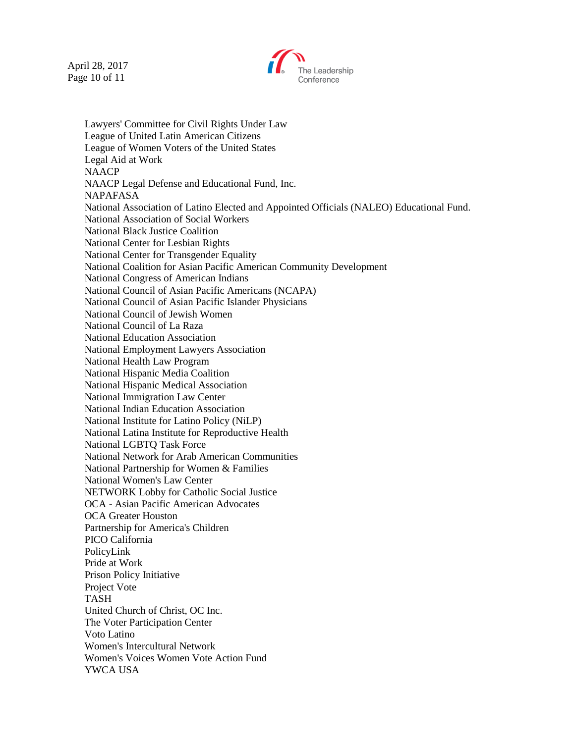April 28, 2017 Page 10 of 11



Lawyers' Committee for Civil Rights Under Law League of United Latin American Citizens League of Women Voters of the United States Legal Aid at Work **NAACP** NAACP Legal Defense and Educational Fund, Inc. NAPAFASA National Association of Latino Elected and Appointed Officials (NALEO) Educational Fund. National Association of Social Workers National Black Justice Coalition National Center for Lesbian Rights National Center for Transgender Equality National Coalition for Asian Pacific American Community Development National Congress of American Indians National Council of Asian Pacific Americans (NCAPA) National Council of Asian Pacific Islander Physicians National Council of Jewish Women National Council of La Raza National Education Association National Employment Lawyers Association National Health Law Program National Hispanic Media Coalition National Hispanic Medical Association National Immigration Law Center National Indian Education Association National Institute for Latino Policy (NiLP) National Latina Institute for Reproductive Health National LGBTQ Task Force National Network for Arab American Communities National Partnership for Women & Families National Women's Law Center NETWORK Lobby for Catholic Social Justice OCA - Asian Pacific American Advocates OCA Greater Houston Partnership for America's Children PICO California PolicyLink Pride at Work Prison Policy Initiative Project Vote TASH United Church of Christ, OC Inc. The Voter Participation Center Voto Latino Women's Intercultural Network Women's Voices Women Vote Action Fund YWCA USA